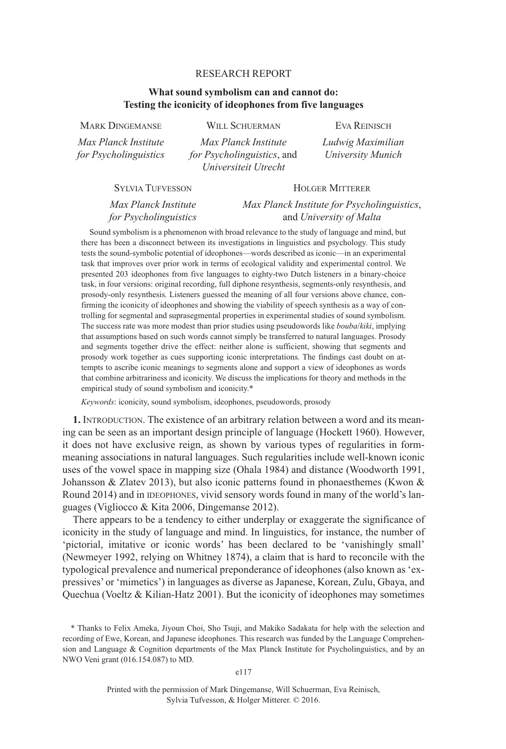## RESEARCH REPORT

# **What sound symbolism can and cannot do: Testing the iconicity of ideophones from five languages**

MARK DINGEMANSE WILL SCHUERMAN EVA REINISCH *Max Planck Institute Max Planck Institute Ludwig Maximilian for Psycholinguistics for Psycholinguistics*, and *University Munich Universiteit Utrecht*

**SYLVIA TUFVESSON** HOLGER MITTERER

*Max Planck Institute Max Planck Institute for Psycholinguistics*, *for Psycholinguistics* and *University of Malta*

Sound symbolism is a phenomenon with broad relevance to the study of language and mind, but there has been a disconnect between its investigations in linguistics and psychology. This study tests the sound-symbolic potential of ideophones—words described as iconic—in an experimental task that improves over prior work in terms of ecological validity and experimental control. We presented 203 ideophones from five languages to eighty-two Dutch listeners in a binary-choice task, in four versions: original recording, full diphone resynthesis, segments-only resynthesis, and prosody-only resynthesis. Listeners guessed the meaning of all four versions above chance, confirming the iconicity of ideophones and showing the viability of speech synthesis as a way of controlling for segmental and suprasegmental properties in experimental studies of sound symbolism. The success rate was more modest than prior studies using pseudowords like *bouba*/*kiki*, implying that assumptions based on such words cannot simply be transferred to natural languages. Prosody and segments together drive the effect: neither alone is sufficient, showing that segments and prosody work together as cues supporting iconic interpretations. The findings cast doubt on attempts to ascribe iconic meanings to segments alone and support a view of ideophones as words that combine arbitrariness and iconicity. We discuss the implications for theory and methods in the empirical study of sound symbolism and iconicity.\*

*Keywords*: iconicity, sound symbolism, ideophones, pseudowords, prosody

**1.** INTRODUCTION. The existence of an arbitrary relation between a word and its meaning can be seen as an important design principle of language (Hockett 1960). However, it does not have exclusive reign, as shown by various types of regularities in formmeaning associations in natural languages. Such regularities include well-known iconic uses of the vowel space in mapping size (Ohala 1984) and distance (Woodworth 1991, Johansson & Zlatev 2013), but also iconic patterns found in phonaesthemes (Kwon  $\&$ Round 2014) and in IDEOPHONES, vivid sensory words found in many of the world's languages (Vigliocco & Kita 2006, Dingemanse 2012).

There appears to be a tendency to either underplay or exaggerate the significance of iconicity in the study of language and mind. In linguistics, for instance, the number of 'pictorial, imitative or iconic words' has been declared to be 'vanishingly small' (Newmeyer 1992, relying on Whitney 1874), a claim that is hard to reconcile with the typological prevalence and numerical preponderance of ideophones (also known as 'expressives' or 'mimetics') in languages as diverse as Japanese, Korean, Zulu, Gbaya, and Quechua (Voeltz & Kilian-Hatz 2001). But the iconicity of ideophones may sometimes

e117

Printed with the permission of Mark Dingemanse, Will Schuerman, Eva Reinisch, Sylvia Tufvesson, & Holger Mitterer. © 2016.

<sup>\*</sup> Thanks to Felix Ameka, Jiyoun Choi, Sho Tsuji, and Makiko Sadakata for help with the selection and recording of Ewe, Korean, and Japanese ideophones. This research was funded by the Language Comprehension and Language & Cognition departments of the Max Planck Institute for Psycholinguistics, and by an NWO Veni grant (016.154.087) to MD.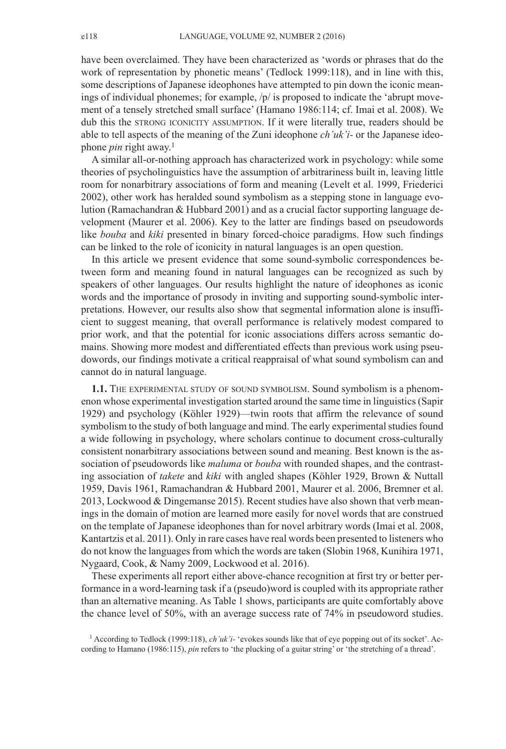have been overclaimed. They have been characterized as 'words or phrases that do the work of representation by phonetic means' (Tedlock 1999:118), and in line with this, some descriptions of Japanese ideophones have attempted to pin down the iconic meanings of individual phonemes; for example,  $/p/$  is proposed to indicate the 'abrupt movement of a tensely stretched small surface' (Hamano 1986:114; cf. Imai et al. 2008). We dub this the STRONG ICONICITY ASSUMPTION. If it were literally true, readers should be able to tell aspects of the meaning of the Zuni ideophone *ch'uk'i-* or the Japanese ideophone *pin* right away. 1

A similar all-or-nothing approach has characterized work in psychology: while some theories of psycholinguistics have the assumption of arbitrariness built in, leaving little room for nonarbitrary associations of form and meaning (Levelt et al. 1999, Friederici 2002), other work has heralded sound symbolism as a stepping stone in language evolution (Ramachandran & Hubbard 2001) and as a crucial factor supporting language development (Maurer et al. 2006). Key to the latter are findings based on pseudowords like *bouba* and *kiki* presented in binary forced-choice paradigms. How such findings can be linked to the role of iconicity in natural languages is an open question.

In this article we present evidence that some sound-symbolic correspondences between form and meaning found in natural languages can be recognized as such by speakers of other languages. Our results highlight the nature of ideophones as iconic words and the importance of prosody in inviting and supporting sound-symbolic interpretations. However, our results also show that segmental information alone is insufficient to suggest meaning, that overall performance is relatively modest compared to prior work, and that the potential for iconic associations differs across semantic domains. Showing more modest and differentiated effects than previous work using pseudowords, our findings motivate a critical reappraisal of what sound symbolism can and cannot do in natural language.

**1.1.** THE EXPERIMENTAL STUDY OF SOUND SYMBOLISM. Sound symbolism is a phenomenon whose experimental investigation started around the same time in linguistics(Sapir 1929) and psychology (Köhler 1929)—twin roots that affirm the relevance of sound symbolism to the study of both language and mind. The early experimental studies found a wide following in psychology, where scholars continue to document cross-culturally consistent nonarbitrary associations between sound and meaning. Best known is the association of pseudowords like *maluma* or *bouba* with rounded shapes, and the contrasting association of *takete* and *kiki* with angled shapes (Köhler 1929, Brown & Nuttall 1959, Davis 1961, Ramachandran & Hubbard 2001, Maurer et al. 2006, Bremner et al. 2013, Lockwood & Dingemanse 2015). Recent studies have also shown that verb meanings in the domain of motion are learned more easily for novel words that are construed on the template of Japanese ideophones than for novel arbitrary words (Imai et al. 2008, Kantartzis et al. 2011). Only in rare cases have real words been presented to listeners who do not know the languagesfrom which the words are taken (Slobin 1968, Kunihira 1971, Nygaard, Cook, & Namy 2009, Lockwood et al. 2016).

These experiments all report either above-chance recognition at first try or better performance in a word-learning task if a (pseudo)word is coupled with its appropriate rather than an alternative meaning. As Table 1 shows, participants are quite comfortably above the chance level of 50%, with an average success rate of 74% in pseudoword studies.

<sup>1</sup> According to Tedlock (1999:118), *ch'uk'i-* 'evokes sounds like that of eye popping out of its socket'. According to Hamano (1986:115), *pin* refers to 'the plucking of a guitar string' or 'the stretching of a thread'.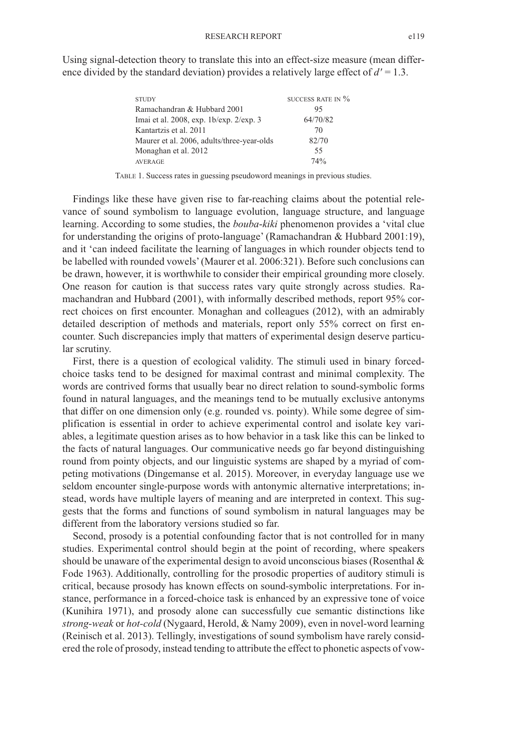| <b>STUDY</b>                               | SUCCESS RATE IN $\%$ |
|--------------------------------------------|----------------------|
| Ramachandran & Hubbard 2001                | 95                   |
| Imai et al. 2008, exp. 1b/exp. 2/exp. 3    | 64/70/82             |
| Kantartzis et al. 2011                     | 70                   |
| Maurer et al. 2006, adults/three-year-olds | 82/70                |
| Monaghan et al. 2012                       | 55                   |
| <b>AVERAGE</b>                             | 74%                  |

Using signal-detection theory to translate this into an effect-size measure (mean difference divided by the standard deviation) provides a relatively large effect of  $d' = 1.3$ .

TABLE 1. Success rates in guessing pseudoword meanings in previous studies.

Findings like these have given rise to far-reaching claims about the potential relevance of sound symbolism to language evolution, language structure, and language learning. According to some studies, the *bouba*-*kiki* phenomenon provides a 'vital clue for understanding the origins of proto-language' (Ramachandran & Hubbard 2001:19), and it 'can indeed facilitate the learning of languages in which rounder objects tend to be labelled with rounded vowels'(Maurer et al. 2006:321). Before such conclusions can be drawn, however, it is worthwhile to consider their empirical grounding more closely. One reason for caution is that success rates vary quite strongly across studies. Ramachandran and Hubbard (2001), with informally described methods, report 95% correct choices on first encounter. Monaghan and colleagues (2012), with an admirably detailed description of methods and materials, report only 55% correct on first encounter. Such discrepancies imply that matters of experimental design deserve particular scrutiny.

First, there is a question of ecological validity. The stimuli used in binary forcedchoice tasks tend to be designed for maximal contrast and minimal complexity. The words are contrived forms that usually bear no direct relation to sound-symbolic forms found in natural languages, and the meanings tend to be mutually exclusive antonyms that differ on one dimension only (e.g. rounded vs. pointy). While some degree of simplification is essential in order to achieve experimental control and isolate key variables, a legitimate question arises as to how behavior in a task like this can be linked to the facts of natural languages. Our communicative needs go far beyond distinguishing round from pointy objects, and our linguistic systems are shaped by a myriad of competing motivations (Dingemanse et al. 2015). Moreover, in everyday language use we seldom encounter single-purpose words with antonymic alternative interpretations; instead, words have multiple layers of meaning and are interpreted in context. This suggests that the forms and functions of sound symbolism in natural languages may be different from the laboratory versions studied so far.

Second, prosody is a potential confounding factor that is not controlled for in many studies. Experimental control should begin at the point of recording, where speakers should be unaware of the experimental design to avoid unconscious biases (Rosenthal  $\&$ Fode 1963). Additionally, controlling for the prosodic properties of auditory stimuli is critical, because prosody has known effects on sound-symbolic interpretations. For instance, performance in a forced-choice task is enhanced by an expressive tone of voice (Kunihira 1971), and prosody alone can successfully cue semantic distinctions like *strong-weak* or *hot-cold* (Nygaard, Herold, & Namy 2009), even in novel-word learning (Reinisch et al. 2013). Tellingly, investigations of sound symbolism have rarely considered the role of prosody, instead tending to attribute the effect to phonetic aspects of vow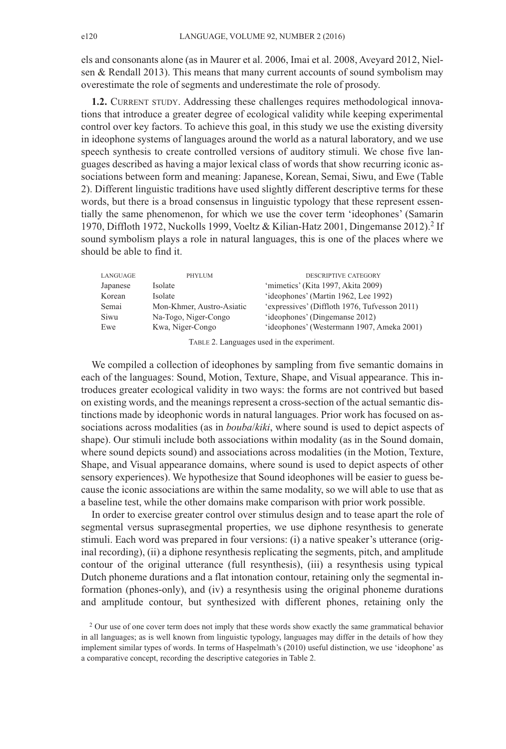els and consonants alone (as in Maurer et al. 2006, Imai et al. 2008, Aveyard 2012, Nielsen & Rendall 2013). This means that many current accounts of sound symbolism may overestimate the role of segments and underestimate the role of prosody.

**1.2.** CURRENT STUDY. Addressing these challenges requires methodological innovations that introduce a greater degree of ecological validity while keeping experimental control over key factors. To achieve this goal, in this study we use the existing diversity in ideophone systems of languages around the world as a natural laboratory, and we use speech synthesis to create controlled versions of auditory stimuli. We chose five languages described as having a major lexical class of words that show recurring iconic associations between form and meaning: Japanese, Korean, Semai, Siwu, and Ewe (Table 2). Different linguistic traditions have used slightly different descriptive terms for these words, but there is a broad consensus in linguistic typology that these represent essentially the same phenomenon, for which we use the cover term 'ideophones' (Samarin 1970, Diffloth 1972, Nuckolls 1999, Voeltz & Kilian-Hatz 2001, Dingemanse 2012). <sup>2</sup> If sound symbolism plays a role in natural languages, this is one of the places where we should be able to find it.

| LANGUAGE | PHYLUM                    | <b>DESCRIPTIVE CATEGORY</b>                   |
|----------|---------------------------|-----------------------------------------------|
| Japanese | Isolate                   | 'mimetics' (Kita 1997, Akita 2009)            |
| Korean   | Isolate                   | 'ideophones' (Martin 1962, Lee 1992)          |
| Semai    | Mon-Khmer, Austro-Asiatic | 'expressives' (Diffloth 1976, Tufvesson 2011) |
| Siwu     | Na-Togo, Niger-Congo      | 'ideophones' (Dingemanse 2012)                |
| Ewe      | Kwa, Niger-Congo          | 'ideophones' (Westermann 1907, Ameka 2001)    |

TABLE 2. Languages used in the experiment.

We compiled a collection of ideophones by sampling from five semantic domains in each of the languages: Sound, Motion, Texture, Shape, and Visual appearance. This introduces greater ecological validity in two ways: the forms are not contrived but based on existing words, and the meanings represent a cross-section of the actual semantic distinctions made by ideophonic words in natural languages. Prior work has focused on associations across modalities (as in *bouba*/*kiki*, where sound is used to depict aspects of shape). Our stimuli include both associations within modality (as in the Sound domain, where sound depicts sound) and associations across modalities (in the Motion, Texture, Shape, and Visual appearance domains, where sound is used to depict aspects of other sensory experiences). We hypothesize that Sound ideophones will be easier to guess because the iconic associations are within the same modality, so we will able to use that as a baseline test, while the other domains make comparison with prior work possible.

In order to exercise greater control over stimulus design and to tease apart the role of segmental versus suprasegmental properties, we use diphone resynthesis to generate stimuli. Each word was prepared in four versions: (i) a native speaker's utterance (original recording), (ii) a diphone resynthesis replicating the segments, pitch, and amplitude contour of the original utterance (full resynthesis), (iii) a resynthesis using typical Dutch phoneme durations and a flat intonation contour, retaining only the segmental information (phones-only), and (iv) a resynthesis using the original phoneme durations and amplitude contour, but synthesized with different phones, retaining only the

<sup>&</sup>lt;sup>2</sup> Our use of one cover term does not imply that these words show exactly the same grammatical behavior in all languages; as is well known from linguistic typology, languages may differ in the details of how they implement similar types of words. In terms of Haspelmath's (2010) useful distinction, we use 'ideophone' as a comparative concept, recording the descriptive categories in Table 2.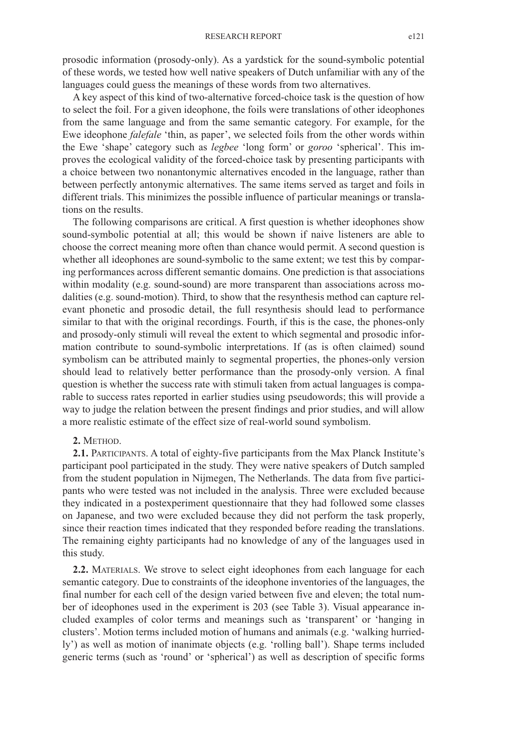prosodic information (prosody-only). As a yardstick for the sound-symbolic potential of these words, we tested how well native speakers of Dutch unfamiliar with any of the languages could guess the meanings of these words from two alternatives.

A key aspect of this kind of two-alternative forced-choice task is the question of how to select the foil. For a given ideophone, the foils were translations of other ideophones from the same language and from the same semantic category. For example, for the Ewe ideophone *falefale* 'thin, as paper', we selected foils from the other words within the Ewe 'shape' category such as *legbee* 'long form' or *goroo* 'spherical'. This improves the ecological validity of the forced-choice task by presenting participants with a choice between two nonantonymic alternatives encoded in the language, rather than between perfectly antonymic alternatives. The same items served as target and foils in different trials. This minimizes the possible influence of particular meanings or translations on the results.

The following comparisons are critical. A first question is whether ideophones show sound-symbolic potential at all; this would be shown if naive listeners are able to choose the correct meaning more often than chance would permit. A second question is whether all ideophones are sound-symbolic to the same extent; we test this by comparing performances across different semantic domains. One prediction is that associations within modality (e.g. sound-sound) are more transparent than associations across modalities (e.g. sound-motion). Third, to show that the resynthesis method can capture relevant phonetic and prosodic detail, the full resynthesis should lead to performance similar to that with the original recordings. Fourth, if this is the case, the phones-only and prosody-only stimuli will reveal the extent to which segmental and prosodic information contribute to sound-symbolic interpretations. If (as is often claimed) sound symbolism can be attributed mainly to segmental properties, the phones-only version should lead to relatively better performance than the prosody-only version. A final question is whether the success rate with stimuli taken from actual languages is comparable to success rates reported in earlier studies using pseudowords; this will provide a way to judge the relation between the present findings and prior studies, and will allow a more realistic estimate of the effect size of real-world sound symbolism.

#### **2.** METHOD.

**2.1.** PARTICIPANTS. A total of eighty-five participants from the Max Planck Institute's participant pool participated in the study. They were native speakers of Dutch sampled from the student population in Nijmegen, The Netherlands. The data from five participants who were tested was not included in the analysis. Three were excluded because they indicated in a postexperiment questionnaire that they had followed some classes on Japanese, and two were excluded because they did not perform the task properly, since their reaction times indicated that they responded before reading the translations. The remaining eighty participants had no knowledge of any of the languages used in this study.

**2.2.** MATERIALS. We strove to select eight ideophones from each language for each semantic category. Due to constraints of the ideophone inventories of the languages, the final number for each cell of the design varied between five and eleven; the total number of ideophones used in the experiment is 203 (see Table 3). Visual appearance included examples of color terms and meanings such as 'transparent' or 'hanging in clusters'. Motion terms included motion of humans and animals (e.g. 'walking hurriedly') as well as motion of inanimate objects (e.g. 'rolling ball'). Shape terms included generic terms (such as 'round' or 'spherical') as well as description of specific forms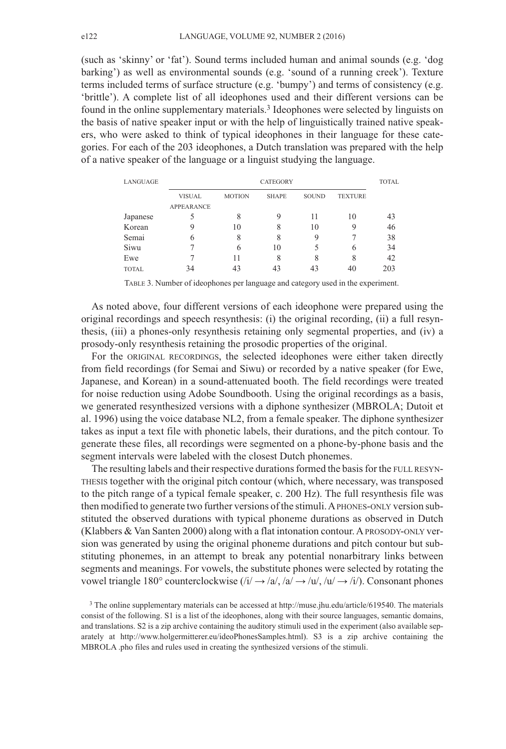(such as 'skinny' or 'fat'). Sound terms included human and animal sounds (e.g. 'dog barking') as well as environmental sounds (e.g. 'sound of a running creek'). Texture terms included terms of surface structure (e.g. 'bumpy') and terms of consistency (e.g. 'brittle'). A complete list of all ideophones used and their different versions can be found in the online supplementary materials. <sup>3</sup> Ideophones were selected by linguists on the basis of native speaker input or with the help of linguistically trained native speakers, who were asked to think of typical ideophones in their language for these categories. For each of the 203 ideophones, a Dutch translation was prepared with the help of a native speaker of the language or a linguist studying the language.

| LANGUAGE     |                   |               | CATEGORY     |              |                | <b>TOTAL</b> |
|--------------|-------------------|---------------|--------------|--------------|----------------|--------------|
|              | <b>VISUAL</b>     | <b>MOTION</b> | <b>SHAPE</b> | <b>SOUND</b> | <b>TEXTURE</b> |              |
|              | <b>APPEARANCE</b> |               |              |              |                |              |
| Japanese     | 5                 | 8             | 9            | 11           | 10             | 43           |
| Korean       | 9                 | 10            | 8            | 10           | 9              | 46           |
| Semai        | 6                 | 8             | 8            | 9            |                | 38           |
| Siwu         |                   | 6             | 10           | 5            | 6              | 34           |
| Ewe          |                   | 11            | 8            | 8            | 8              | 42           |
| <b>TOTAL</b> | 34                | 43            | 43           | 43           | 40             | 203          |

TABLE 3. Number of ideophones per language and category used in the experiment.

As noted above, four different versions of each ideophone were prepared using the original recordings and speech resynthesis: (i) the original recording, (ii) a full resynthesis, (iii) a phones-only resynthesis retaining only segmental properties, and (iv) a prosody-only resynthesis retaining the prosodic properties of the original.

For the ORIGINAL RECORDINGS, the selected ideophones were either taken directly from field recordings (for Semai and Siwu) or recorded by a native speaker (for Ewe, Japanese, and Korean) in a sound-attenuated booth. The field recordings were treated for noise reduction using Adobe Soundbooth. Using the original recordings as a basis, we generated resynthesized versions with a diphone synthesizer (MBROLA; Dutoit et al. 1996) using the voice database NL2, from a female speaker. The diphone synthesizer takes as input a text file with phonetic labels, their durations, and the pitch contour. To generate these files, all recordings were segmented on a phone-by-phone basis and the segment intervals were labeled with the closest Dutch phonemes.

The resulting labels and their respective durationsformed the basisfor the FULL RESYN-THESIS together with the original pitch contour (which, where necessary, was transposed to the pitch range of a typical female speaker, c. 200 Hz). The full resynthesis file was then modified to generate two further versions ofthe stimuli.APHONES-ONLY version substituted the observed durations with typical phoneme durations as observed in Dutch (Klabbers  $&$  Van Santen 2000) along with a flat intonation contour. A PROSODY-ONLY version was generated by using the original phoneme durations and pitch contour but substituting phonemes, in an attempt to break any potential nonarbitrary links between segments and meanings. For vowels, the substitute phones were selected by rotating the vowel triangle 180° counterclockwise  $(i/\rightarrow a/\rightarrow a/\rightarrow a/\rightarrow a/\rightarrow a/\rightarrow a$ . Consonant phones

<sup>3</sup> The online supplementary materials can be accessed at [http://muse.jhu.edu/article/619540.](http://muse.jhu.edu/article/619540) The materials consist of the following. S1 is a list of the ideophones, along with their source languages, semantic domains, and translations. S2 is a zip archive containing the auditory stimuli used in the experiment (also available separately at http://www.holgermitterer.eu/ideoPhonesSamples.html). S3 is a zip archive containing the MBROLA .pho files and rules used in creating the synthesized versions of the stimuli.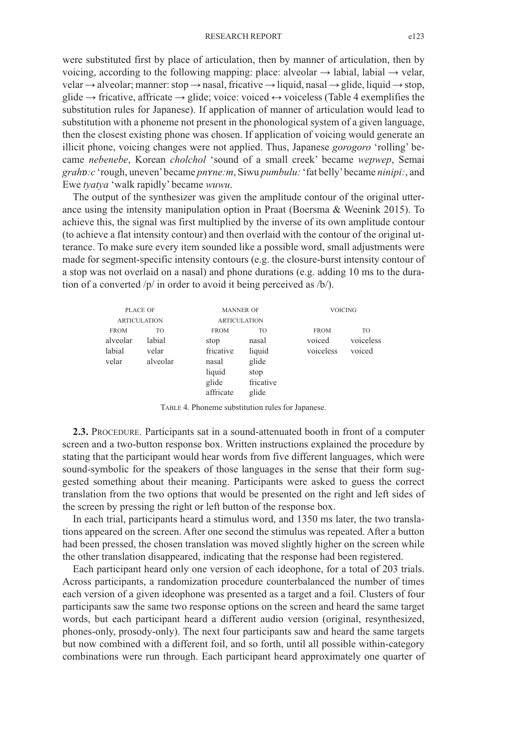#### RESEARCH REPORT e123

were substituted first by place of articulation, then by manner of articulation, then by voicing, according to the following mapping: place: alveolar  $\rightarrow$  labial, labial  $\rightarrow$  velar, velar  $\rightarrow$  alveolar; manner: stop  $\rightarrow$  nasal, fricative  $\rightarrow$  liquid, nasal  $\rightarrow$  glide, liquid  $\rightarrow$  stop, glide  $\rightarrow$  fricative, affricate  $\rightarrow$  glide; voice: voiced  $\leftrightarrow$  voiceless (Table 4 exemplifies the substitution rules for Japanese). If application of manner of articulation would lead to substitution with a phoneme not present in the phonological system of a given language, then the closest existing phone was chosen. If application of voicing would generate an illicit phone, voicing changes were not applied. Thus, Japanese *gorogoro* 'rolling' became *nebenebe*, Korean *cholchol* 'sound of a small creek' became *wepwep*, Semai *grahɒ:c* 'rough, uneven'became *pnʏne:m*, Siwu *pumbulu:* 'fat belly'became *ninipi:*, and Ewe *tyatya* 'walk rapidly' became *wuwu*.

The output of the synthesizer was given the amplitude contour of the original utterance using the intensity manipulation option in Praat (Boersma  $\&$  Weenink 2015). To achieve this, the signal was first multiplied by the inverse of its own amplitude contour (to achieve a flat intensity contour) and then overlaid with the contour of the original utterance. To make sure every item sounded like a possible word, small adjustments were made for segment-specific intensity contours (e.g. the closure-burst intensity contour of a stop was not overlaid on a nasal) and phone durations (e.g. adding 10 ms to the duration of a converted /p/ in order to avoid it being perceived as /b/).

|             | PLACE OF            | <b>MANNER OF</b>    |           | <b>VOICING</b> |           |
|-------------|---------------------|---------------------|-----------|----------------|-----------|
|             | <b>ARTICULATION</b> | <b>ARTICULATION</b> |           |                |           |
| <b>FROM</b> | TO                  | <b>FROM</b>         | TO        | <b>FROM</b>    | TO        |
| alveolar    | labial              | stop                | nasal     | voiced         | voiceless |
| labial      | velar               | fricative           | liquid    | voiceless      | voiced    |
| velar       | alveolar            | nasal               | glide     |                |           |
|             |                     | liquid              | stop      |                |           |
|             |                     | glide               | fricative |                |           |
|             |                     | affricate           | glide     |                |           |

TABLE 4. Phoneme substitution rules for Japanese.

**2.3.** PROCEDURE. Participants sat in a sound-attenuated booth in front of a computer screen and a two-button response box. Written instructions explained the procedure by stating that the participant would hear words from five different languages, which were sound-symbolic for the speakers of those languages in the sense that their form suggested something about their meaning. Participants were asked to guess the correct translation from the two options that would be presented on the right and left sides of the screen by pressing the right or left button of the response box.

In each trial, participants heard a stimulus word, and 1350 ms later, the two translations appeared on the screen. After one second the stimulus was repeated. After a button had been pressed, the chosen translation was moved slightly higher on the screen while the other translation disappeared, indicating that the response had been registered.

Each participant heard only one version of each ideophone, for a total of 203 trials. Across participants, a randomization procedure counterbalanced the number of times each version of a given ideophone was presented as a target and a foil. Clusters of four participants saw the same two response options on the screen and heard the same target words, but each participant heard a different audio version (original, resynthesized, phones-only, prosody-only). The next four participants saw and heard the same targets but now combined with a different foil, and so forth, until all possible within-category combinations were run through. Each participant heard approximately one quarter of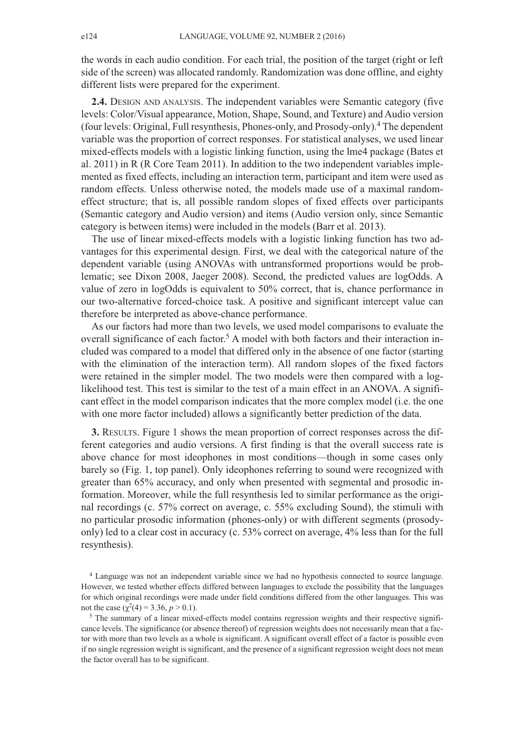the words in each audio condition. For each trial, the position of the target (right or left side of the screen) was allocated randomly. Randomization was done offline, and eighty different lists were prepared for the experiment.

**2.4.** DESIGN AND ANALYSIS. The independent variables were Semantic category (five levels: Color/Visual appearance, Motion, Shape, Sound, and Texture) and Audio version (four levels: Original, Full resynthesis, Phones-only, and Prosody-only). <sup>4</sup> The dependent variable was the proportion of correct responses. For statistical analyses, we used linear mixed-effects models with a logistic linking function, using the lme4 package (Bates et al. 2011) in R (R Core Team 2011). In addition to the two independent variables implemented as fixed effects, including an interaction term, participant and item were used as random effects. Unless otherwise noted, the models made use of a maximal randomeffect structure; that is, all possible random slopes of fixed effects over participants (Semantic category and Audio version) and items (Audio version only, since Semantic category is between items) were included in the models (Barr et al. 2013).

The use of linear mixed-effects models with a logistic linking function has two advantages for this experimental design. First, we deal with the categorical nature of the dependent variable (using ANOVAs with untransformed proportions would be problematic; see Dixon 2008, Jaeger 2008). Second, the predicted values are logOdds. A value of zero in logOdds is equivalent to 50% correct, that is, chance performance in our two-alternative forced-choice task. A positive and significant intercept value can therefore be interpreted as above-chance performance.

As our factors had more than two levels, we used model comparisons to evaluate the overall significance of each factor. <sup>5</sup> A model with both factors and their interaction included was compared to a model that differed only in the absence of one factor (starting with the elimination of the interaction term). All random slopes of the fixed factors were retained in the simpler model. The two models were then compared with a loglikelihood test. This test is similar to the test of a main effect in an ANOVA. A significant effect in the model comparison indicates that the more complex model (i.e. the one with one more factor included) allows a significantly better prediction of the data.

**3.** RESULTS. Figure 1 shows the mean proportion of correct responses across the different categories and audio versions. A first finding is that the overall success rate is above chance for most ideophones in most conditions—though in some cases only barely so (Fig. 1, top panel). Only ideophones referring to sound were recognized with greater than 65% accuracy, and only when presented with segmental and prosodic information. Moreover, while the full resynthesis led to similar performance as the original recordings (c. 57% correct on average, c. 55% excluding Sound), the stimuli with no particular prosodic information (phones-only) or with different segments (prosodyonly) led to a clear cost in accuracy (c. 53% correct on average, 4% less than for the full resynthesis).

<sup>4</sup> Language was not an independent variable since we had no hypothesis connected to source language. However, we tested whether effects differed between languages to exclude the possibility that the languages for which original recordings were made under field conditions differed from the other languages. This was not the case ( $\chi^2(4) = 3.36, p > 0.1$ ).

<sup>5</sup> The summary of a linear mixed-effects model contains regression weights and their respective significance levels. The significance (or absence thereof) of regression weights does not necessarily mean that a factor with more than two levels as a whole is significant. A significant overall effect of a factor is possible even if no single regression weight is significant, and the presence of a significant regression weight does not mean the factor overall has to be significant.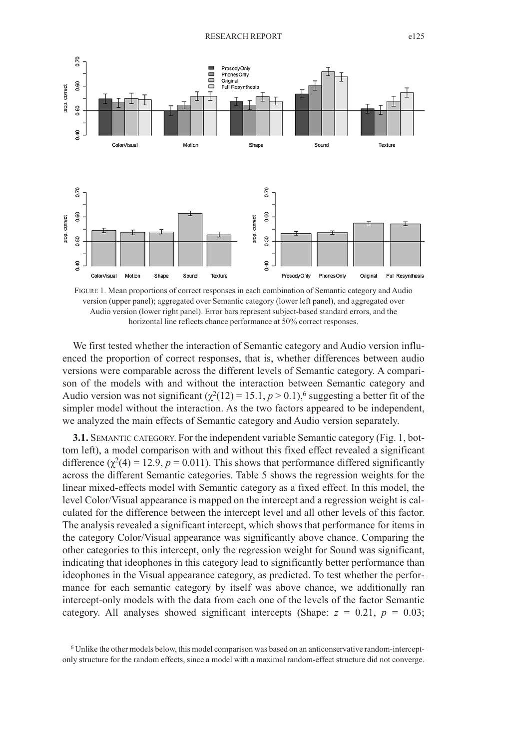

FIGURE 1. Mean proportions of correct responses in each combination of Semantic category and Audio version (upper panel); aggregated over Semantic category (lower left panel), and aggregated over Audio version (lower right panel). Error bars represent subject-based standard errors, and the horizontal line reflects chance performance at 50% correct responses.

We first tested whether the interaction of Semantic category and Audio version influenced the proportion of correct responses, that is, whether differences between audio versions were comparable across the different levels of Semantic category. A comparison of the models with and without the interaction between Semantic category and Audio version was not significant  $(\chi^2(12) = 15.1, p > 0.1)$ ,<sup>6</sup> suggesting a better fit of the simpler model without the interaction. As the two factors appeared to be independent, we analyzed the main effects of Semantic category and Audio version separately.

**3.1.** SEMANTIC CATEGORY. For the independent variable Semantic category (Fig. 1, bottom left), a model comparison with and without this fixed effect revealed a significant difference  $(\chi^2(4) = 12.9, p = 0.011)$ . This shows that performance differed significantly across the different Semantic categories. Table 5 shows the regression weights for the linear mixed-effects model with Semantic category as a fixed effect. In this model, the level Color/Visual appearance is mapped on the intercept and a regression weight is calculated for the difference between the intercept level and all other levels of this factor. The analysis revealed a significant intercept, which shows that performance for items in the category Color/Visual appearance was significantly above chance. Comparing the other categories to this intercept, only the regression weight for Sound was significant, indicating that ideophones in this category lead to significantly better performance than ideophones in the Visual appearance category, as predicted. To test whether the performance for each semantic category by itself was above chance, we additionally ran intercept-only models with the data from each one of the levels of the factor Semantic category. All analyses showed significant intercepts (Shape:  $z = 0.21$ ,  $p = 0.03$ ;

<sup>6</sup> Unlike the other models below, this model comparison was based on an anticonservative random-interceptonly structure for the random effects, since a model with a maximal random-effect structure did not converge.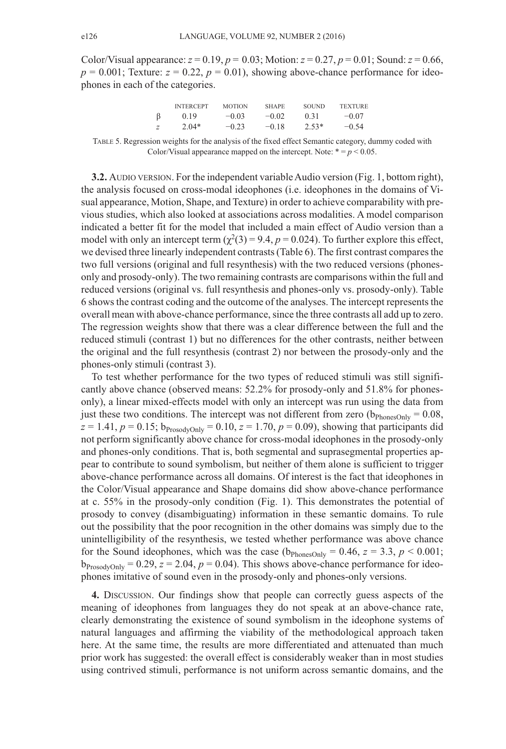Color/Visual appearance:  $z = 0.19$ ,  $p = 0.03$ ; Motion:  $z = 0.27$ ,  $p = 0.01$ ; Sound:  $z = 0.66$ ,  $p = 0.001$ ; Texture:  $z = 0.22$ ,  $p = 0.01$ ), showing above-chance performance for ideophones in each of the categories.

|   | <b>INTERCEPT</b> | <b>MOTION</b> | <b>SHAPE</b> | <b>SOUND</b> | <b>TEXTURE</b> |
|---|------------------|---------------|--------------|--------------|----------------|
|   | 0.19             | $-0.03$       | $-0.02$      | 0.31         | $-0.07$        |
| z | $2.04*$          | $-0.23$       | $-0.18$      | $2.53*$      | $-0.54$        |

TABLE 5. Regression weights for the analysis of the fixed effect Semantic category, dummy coded with Color/Visual appearance mapped on the intercept. Note:  $* = p < 0.05$ .

**3.2.** AUDIO VERSION. For the independent variable Audio version (Fig. 1, bottom right), the analysis focused on cross-modal ideophones (i.e. ideophones in the domains of Visual appearance, Motion, Shape, and Texture) in order to achieve comparability with previous studies, which also looked at associations across modalities. A model comparison indicated a better fit for the model that included a main effect of Audio version than a model with only an intercept term  $(\chi^2(3) = 9.4, p = 0.024)$ . To further explore this effect, we devised three linearly independent contrasts(Table 6). The first contrast comparesthe two full versions (original and full resynthesis) with the two reduced versions (phonesonly and prosody-only). The two remaining contrasts are comparisons within the full and reduced versions (original vs. full resynthesis and phones-only vs. prosody-only). Table 6 showsthe contrast coding and the outcome of the analyses. The intercept representsthe overall mean with above-chance performance, since the three contrasts all add up to zero. The regression weights show that there was a clear difference between the full and the reduced stimuli (contrast 1) but no differences for the other contrasts, neither between the original and the full resynthesis (contrast 2) nor between the prosody-only and the phones-only stimuli (contrast 3).

To test whether performance for the two types of reduced stimuli was still significantly above chance (observed means: 52.2% for prosody-only and 51.8% for phonesonly), a linear mixed-effects model with only an intercept was run using the data from just these two conditions. The intercept was not different from zero  $(b_{PhonesOnlv} = 0.08$ ,  $z = 1.41, p = 0.15$ ;  $b_{\text{ProsodyOnly}} = 0.10, z = 1.70, p = 0.09$ ), showing that participants did not perform significantly above chance for cross-modal ideophones in the prosody-only and phones-only conditions. That is, both segmental and suprasegmental properties appear to contribute to sound symbolism, but neither of them alone is sufficient to trigger above-chance performance across all domains. Of interest is the fact that ideophones in the Color/Visual appearance and Shape domains did show above-chance performance at c. 55% in the prosody-only condition (Fig. 1). This demonstrates the potential of prosody to convey (disambiguating) information in these semantic domains. To rule out the possibility that the poor recognition in the other domains was simply due to the unintelligibility of the resynthesis, we tested whether performance was above chance for the Sound ideophones, which was the case  $(b_{\text{PhonesOnly}} = 0.46, z = 3.3, p < 0.001;$  $b_{\text{ProsodvOnly}} = 0.29$ ,  $z = 2.04$ ,  $p = 0.04$ ). This shows above-chance performance for ideophones imitative of sound even in the prosody-only and phones-only versions.

**4.** DISCUSSION. Our findings show that people can correctly guess aspects of the meaning of ideophones from languages they do not speak at an above-chance rate, clearly demonstrating the existence of sound symbolism in the ideophone systems of natural languages and affirming the viability of the methodological approach taken here. At the same time, the results are more differentiated and attenuated than much prior work has suggested: the overall effect is considerably weaker than in most studies using contrived stimuli, performance is not uniform across semantic domains, and the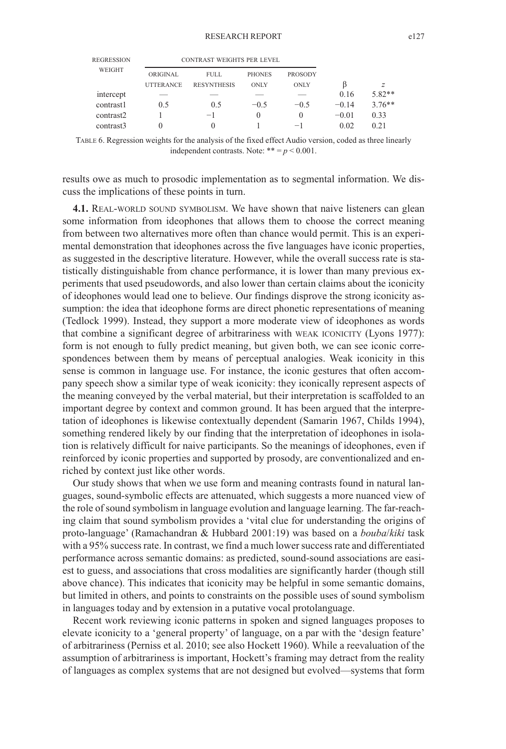| <b>REGRESSION</b> | <b>CONTRAST WEIGHTS PER LEVEL</b> |                    |               |                |         |          |
|-------------------|-----------------------------------|--------------------|---------------|----------------|---------|----------|
| WEIGHT            | ORIGINAL                          | <b>FULL</b>        | <b>PHONES</b> | <b>PROSODY</b> |         |          |
|                   | <b>UTTERANCE</b>                  | <b>RESYNTHESIS</b> | <b>ONLY</b>   | <b>ONLY</b>    |         | z        |
| intercept         |                                   |                    |               |                | 0.16    | $5.82**$ |
| contrast1         | 0.5                               | 0.5                | $-0.5$        | $-0.5$         | $-0.14$ | $3.76**$ |
| contrast2         |                                   | $-1$               | $\theta$      | $\Omega$       | $-0.01$ | 0.33     |
| contrast3         | $\theta$                          | $\Omega$           |               | $-1$           | 0.02    | 0.21     |

TABLE 6. Regression weights for the analysis of the fixed effect Audio version, coded as three linearly independent contrasts. Note:  $** = p < 0.001$ .

results owe as much to prosodic implementation as to segmental information. We discuss the implications of these points in turn.

**4.1.** REAL-WORLD SOUND SYMBOLISM. We have shown that naive listeners can glean some information from ideophones that allows them to choose the correct meaning from between two alternatives more often than chance would permit. This is an experimental demonstration that ideophones across the five languages have iconic properties, as suggested in the descriptive literature. However, while the overall success rate is statistically distinguishable from chance performance, it is lower than many previous experiments that used pseudowords, and also lower than certain claims about the iconicity of ideophones would lead one to believe. Our findings disprove the strong iconicity assumption: the idea that ideophone forms are direct phonetic representations of meaning (Tedlock 1999). Instead, they support a more moderate view of ideophones as words that combine a significant degree of arbitrariness with WEAK ICONICITY (Lyons 1977): form is not enough to fully predict meaning, but given both, we can see iconic correspondences between them by means of perceptual analogies. Weak iconicity in this sense is common in language use. For instance, the iconic gestures that often accompany speech show a similar type of weak iconicity: they iconically represent aspects of the meaning conveyed by the verbal material, but their interpretation is scaffolded to an important degree by context and common ground. It has been argued that the interpretation of ideophones is likewise contextually dependent (Samarin 1967, Childs 1994), something rendered likely by our finding that the interpretation of ideophones in isolation is relatively difficult for naive participants. So the meanings of ideophones, even if reinforced by iconic properties and supported by prosody, are conventionalized and enriched by context just like other words.

Our study shows that when we use form and meaning contrasts found in natural languages, sound-symbolic effects are attenuated, which suggests a more nuanced view of the role ofsound symbolism in language evolution and language learning. The far-reaching claim that sound symbolism provides a 'vital clue for understanding the origins of proto-language' (Ramachandran & Hubbard 2001:19) was based on a *bouba*/*kiki* task with a 95% success rate. In contrast, we find a much lower success rate and differentiated performance across semantic domains: as predicted, sound-sound associations are easiest to guess, and associations that cross modalities are significantly harder (though still above chance). This indicates that iconicity may be helpful in some semantic domains, but limited in others, and points to constraints on the possible uses of sound symbolism in languages today and by extension in a putative vocal protolanguage.

Recent work reviewing iconic patterns in spoken and signed languages proposes to elevate iconicity to a 'general property' of language, on a par with the 'design feature' of arbitrariness (Perniss et al. 2010; see also Hockett 1960). While a reevaluation of the assumption of arbitrariness is important, Hockett's framing may detract from the reality of languages as complex systems that are not designed but evolved—systems that form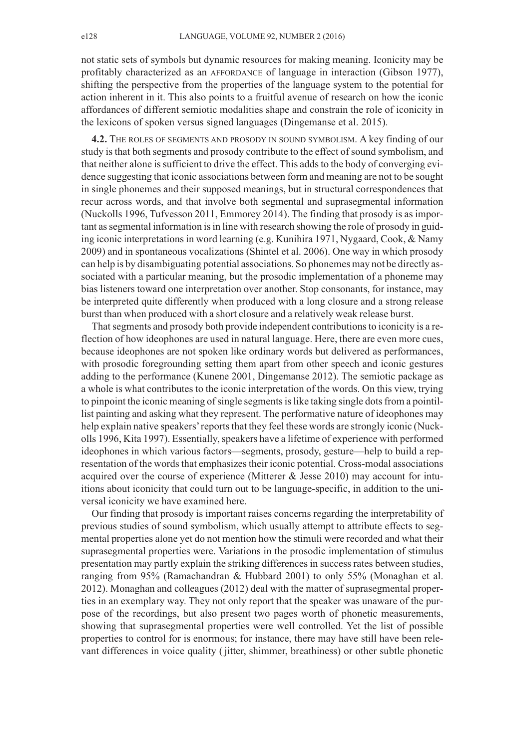not static sets of symbols but dynamic resources for making meaning. Iconicity may be profitably characterized as an AFFORDANCE of language in interaction (Gibson 1977), shifting the perspective from the properties of the language system to the potential for action inherent in it. This also points to a fruitful avenue of research on how the iconic affordances of different semiotic modalities shape and constrain the role of iconicity in the lexicons of spoken versus signed languages (Dingemanse et al. 2015).

**4.2.** THE ROLES OF SEGMENTS AND PROSODY IN SOUND SYMBOLISM. A key finding of our study is that both segments and prosody contribute to the effect of sound symbolism, and that neither alone issufficient to drive the effect. This addsto the body of converging evidence suggesting that iconic associations between form and meaning are not to be sought in single phonemes and their supposed meanings, but in structural correspondences that recur across words, and that involve both segmental and suprasegmental information (Nuckolls 1996, Tufvesson 2011, Emmorey 2014). The finding that prosody is as important as segmental information is in line with research showing the role of prosody in guiding iconic interpretations in word learning (e.g. Kunihira 1971, Nygaard, Cook, & Namy 2009) and in spontaneous vocalizations (Shintel et al. 2006). One way in which prosody can help is by disambiguating potential associations. So phonemes may not be directly associated with a particular meaning, but the prosodic implementation of a phoneme may bias listeners toward one interpretation over another. Stop consonants, for instance, may be interpreted quite differently when produced with a long closure and a strong release burst than when produced with a short closure and a relatively weak release burst.

That segments and prosody both provide independent contributions to iconicity is a reflection of how ideophones are used in natural language. Here, there are even more cues, because ideophones are not spoken like ordinary words but delivered as performances, with prosodic foregrounding setting them apart from other speech and iconic gestures adding to the performance (Kunene 2001, Dingemanse 2012). The semiotic package as a whole is what contributes to the iconic interpretation of the words. On this view, trying to pinpoint the iconic meaning of single segments is like taking single dots from a pointillist painting and asking what they represent. The performative nature of ideophones may help explain native speakers' reports that they feel these words are strongly iconic (Nuckolls 1996, Kita 1997). Essentially,speakers have a lifetime of experience with performed ideophones in which various factors—segments, prosody, gesture—help to build a representation of the words that emphasizes their iconic potential. Cross-modal associations acquired over the course of experience (Mitterer  $&$  Jesse 2010) may account for intuitions about iconicity that could turn out to be language-specific, in addition to the universal iconicity we have examined here.

Our finding that prosody is important raises concerns regarding the interpretability of previous studies of sound symbolism, which usually attempt to attribute effects to segmental properties alone yet do not mention how the stimuli were recorded and what their suprasegmental properties were. Variations in the prosodic implementation of stimulus presentation may partly explain the striking differences in success rates between studies, ranging from 95% (Ramachandran & Hubbard 2001) to only 55% (Monaghan et al. 2012). Monaghan and colleagues (2012) deal with the matter of suprasegmental properties in an exemplary way. They not only report that the speaker was unaware of the purpose of the recordings, but also present two pages worth of phonetic measurements, showing that suprasegmental properties were well controlled. Yet the list of possible properties to control for is enormous; for instance, there may have still have been relevant differences in voice quality (jitter, shimmer, breathiness) or other subtle phonetic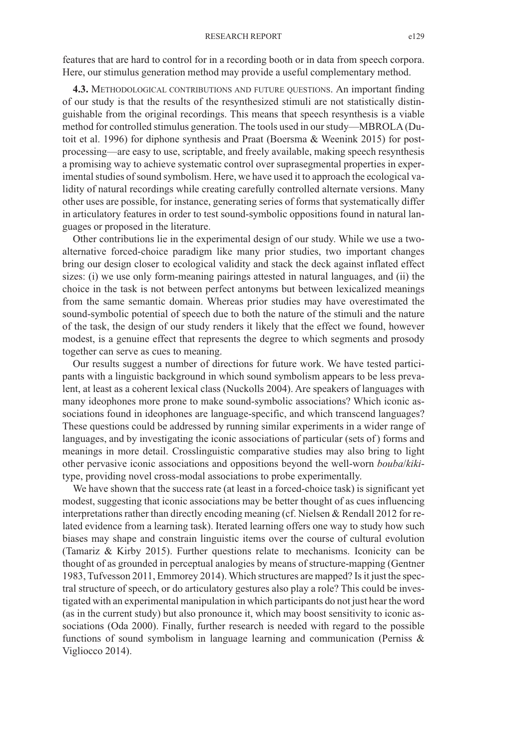features that are hard to control for in a recording booth or in data from speech corpora. Here, our stimulus generation method may provide a useful complementary method.

**4.3.** METHODOLOGICAL CONTRIBUTIONS AND FUTURE QUESTIONS. An important finding of our study is that the results of the resynthesized stimuli are not statistically distinguishable from the original recordings. This means that speech resynthesis is a viable method for controlled stimulus generation. The tools used in ourstudy—MBROLA(Dutoit et al. 1996) for diphone synthesis and Praat (Boersma & Weenink 2015) for postprocessing—are easy to use, scriptable, and freely available, making speech resynthesis a promising way to achieve systematic control over suprasegmental properties in experimental studies of sound symbolism. Here, we have used it to approach the ecological validity of natural recordings while creating carefully controlled alternate versions. Many other uses are possible, for instance, generating series of forms that systematically differ in articulatory features in order to test sound-symbolic oppositions found in natural languages or proposed in the literature.

Other contributions lie in the experimental design of our study. While we use a twoalternative forced-choice paradigm like many prior studies, two important changes bring our design closer to ecological validity and stack the deck against inflated effect sizes: (i) we use only form-meaning pairings attested in natural languages, and (ii) the choice in the task is not between perfect antonyms but between lexicalized meanings from the same semantic domain. Whereas prior studies may have overestimated the sound-symbolic potential of speech due to both the nature of the stimuli and the nature of the task, the design of our study renders it likely that the effect we found, however modest, is a genuine effect that represents the degree to which segments and prosody together can serve as cues to meaning.

Our results suggest a number of directions for future work. We have tested participants with a linguistic background in which sound symbolism appears to be less prevalent, at least as a coherent lexical class (Nuckolls 2004). Are speakers of languages with many ideophones more prone to make sound-symbolic associations? Which iconic associations found in ideophones are language-specific, and which transcend languages? These questions could be addressed by running similar experiments in a wider range of languages, and by investigating the iconic associations of particular (sets of) forms and meanings in more detail. Crosslinguistic comparative studies may also bring to light other pervasive iconic associations and oppositions beyond the well-worn *bouba*/*kiki*type, providing novel cross-modal associations to probe experimentally.

We have shown that the success rate (at least in a forced-choice task) is significant yet modest, suggesting that iconic associations may be better thought of as cues influencing interpretations rather than directly encoding meaning (cf. Nielsen  $\&$  Rendall 2012 for related evidence from a learning task). Iterated learning offers one way to study how such biases may shape and constrain linguistic items over the course of cultural evolution (Tamariz & Kirby 2015). Further questions relate to mechanisms. Iconicity can be thought of as grounded in perceptual analogies by means of structure-mapping (Gentner 1983, Tufvesson 2011, Emmorey 2014).Which structures are mapped? Isit just the spectral structure of speech, or do articulatory gestures also play a role? This could be investigated with an experimental manipulation in which participants do not just hear the word (as in the current study) but also pronounce it, which may boost sensitivity to iconic associations (Oda 2000). Finally, further research is needed with regard to the possible functions of sound symbolism in language learning and communication (Perniss & Vigliocco 2014).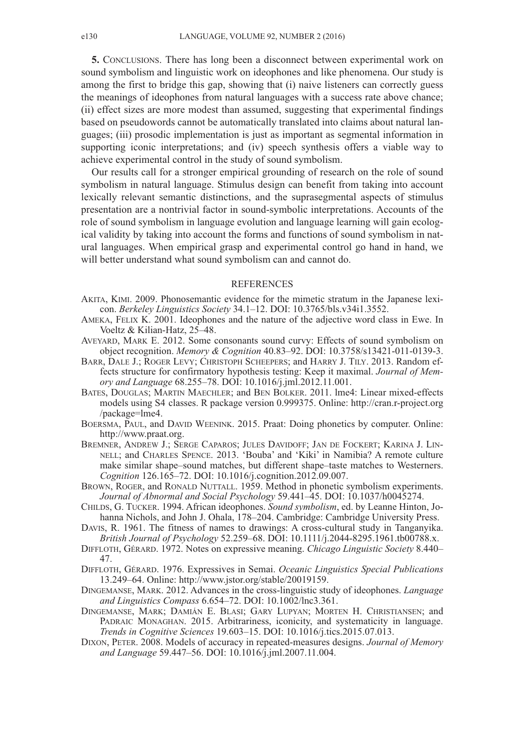**5.** CONCLUSIONS. There has long been a disconnect between experimental work on sound symbolism and linguistic work on ideophones and like phenomena. Our study is among the first to bridge this gap, showing that (i) naive listeners can correctly guess the meanings of ideophones from natural languages with a success rate above chance; (ii) effect sizes are more modest than assumed, suggesting that experimental findings based on pseudowords cannot be automatically translated into claims about natural languages; (iii) prosodic implementation is just as important as segmental information in supporting iconic interpretations; and (iv) speech synthesis offers a viable way to achieve experimental control in the study of sound symbolism.

Our results call for a stronger empirical grounding of research on the role of sound symbolism in natural language. Stimulus design can benefit from taking into account lexically relevant semantic distinctions, and the suprasegmental aspects of stimulus presentation are a nontrivial factor in sound-symbolic interpretations. Accounts of the role of sound symbolism in language evolution and language learning will gain ecological validity by taking into account the forms and functions of sound symbolism in natural languages. When empirical grasp and experimental control go hand in hand, we will better understand what sound symbolism can and cannot do.

### REFERENCES

- AKITA, KIMI. 2009. Phonosemantic evidence for the mimetic stratum in the Japanese lexicon. *Berkeley Linguistics Society* 34.1–12. DOI: [10.3765/bls.v34i1.3552.](http://dx.doi.org/10.3765/bls.v34i1.3552)
- AMEKA, FELIX K. 2001. Ideophones and the nature of the adjective word class in Ewe. In Voeltz & Kilian-Hatz, 25–48.
- AVEYARD, MARK E. 2012. Some consonants sound curvy: Effects of sound symbolism on object recognition. *Memory & Cognition* 40.83–92. DOI: [10.3758/s13421-011-0139-3.](http://dx.doi.org/10.3758/s13421-011-0139-3)
- BARR, DALE J.; ROGER LEVY; CHRISTOPH SCHEEPERS; and HARRY J. TILY. 2013. Random effects structure for confirmatory hypothesis testing: Keep it maximal. *Journal of Memory and Language* 68.255–78. DOI: [10.1016/j.jml.2012.11.001.](http://dx.doi.org/10.1016/j.jml.2012.11.001)
- BATES, DOUGLAS; MARTIN MAECHLER; and BEN BOLKER. 2011. lme4: Linear mixed-effects models using S4 classes. R package version 0.999375. Online: [http://cran.r-project.org](http://cran.r-project.org/package=lme4) [/package=lme4.](http://cran.r-project.org/package=lme4)
- BOERSMA, PAUL, and DAVID WEENINK. 2015. Praat: Doing phonetics by computer. Online: [http://www.praat.org.](http://www.praat.org)
- BREMNER, ANDREW J.; SERGE CAPAROS; JULES DAVIDOFF; JAN DE FOCKERT; KARINA J. LIN-NELL; and CHARLES SPENCE. 2013. 'Bouba' and 'Kiki' in Namibia? A remote culture make similar shape–sound matches, but different shape–taste matches to Westerners. *Cognition* 126.165–72. DOI: [10.1016/j.cognition.2012.09.007.](http://dx.doi.org/10.1016/j.cognition.2012.09.007)
- BROWN, ROGER, and RONALD NUTTALL. 1959. Method in phonetic symbolism experiments. *Journal of Abnormal and Social Psychology* 59.441–45. DOI: [10.1037/h0045274.](http://dx.doi.org/10.1037/h0045274)
- CHILDS, G. TUCKER. 1994. African ideophones. *Sound symbolism*, ed. by Leanne Hinton, Johanna Nichols, and John J. Ohala, 178–204. Cambridge: Cambridge University Press.
- DAVIS, R. 1961. The fitness of names to drawings: A cross-cultural study in Tanganyika. *British Journal of Psychology* 52.259–68. DOI: [10.1111/j.2044-8295.1961.tb00788.x.](http://dx.doi.org/10.1111/j.2044-8295.1961.tb00788.x)
- DIFFLOTH, GÉRARD. 1972. Notes on expressive meaning. *Chicago Linguistic Society* 8.440– 47.
- DIFFLOTH, GÉRARD. 1976. Expressives in Semai. *Oceanic Linguistics Special Publications* 13.249–64. Online: http://www.jstor.org/stable/20019159.
- DINGEMANSE, MARK. 2012. Advances in the cross-linguistic study of ideophones. *Language and Linguistics Compass* 6.654–72. DOI: [10.1002/lnc3.361.](http://dx.doi.org/10.1002/lnc3.361)
- DINGEMANSE, MARK; DAMIÁN E. BLASI; GARY LUPYAN; MORTEN H. CHRISTIANSEN; and PADRAIC MONAGHAN. 2015. Arbitrariness, iconicity, and systematicity in language. *Trends in Cognitive Sciences* 19.603–15. DOI: [10.1016/j.tics.2015.07.013.](http://dx.doi.org/10.1016/j.tics.2015.07.013)
- DIXON, PETER. 2008. Models of accuracy in repeated-measures designs. *Journal of Memory and Language* 59.447–56. DOI: [10.1016/j.jml.2007.11.004.](http://dx.doi.org/10.1016/j.jml.2007.11.004)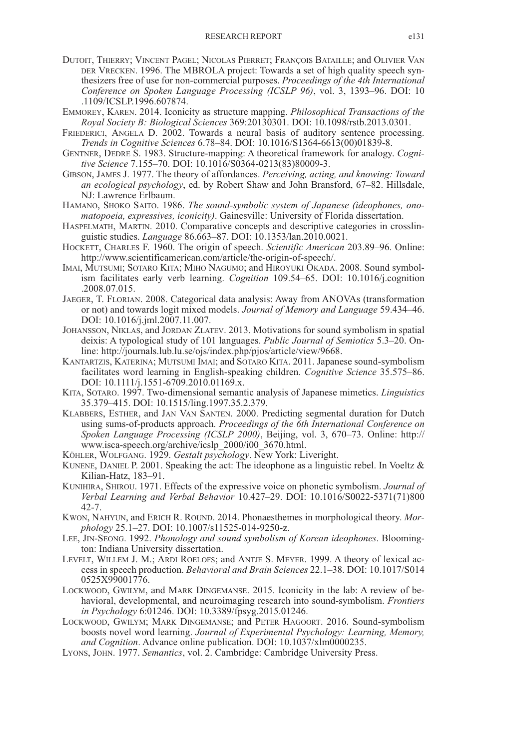- DUTOIT, THIERRY; VINCENT PAGEL; NICOLAS PIERRET; FRANÇOIS BATAILLE; and OLIVIER VAN DER VRECKEN. 1996. The MBROLA project: Towards a set of high quality speech synthesizers free of use for non-commercial purposes. *Proceedings of the 4th International Conference on Spoken Language Processing (ICSLP 96)*, vol. 3, 1393–96. DOI: [10](http://dx.doi.org/10.1109/ICSLP.1996.607874) [.1109/ICSLP.1996.607874.](http://dx.doi.org/10.1109/ICSLP.1996.607874)
- EMMOREY, KAREN. 2014. Iconicity as structure mapping. *Philosophical Transactions of the Royal Society B: Biological Sciences* 369:20130301. DOI: [10.1098/rstb.2013.0301.](http://dx.doi.org/10.1098/rstb.2013.0301)
- FRIEDERICI, ANGELA D. 2002. Towards a neural basis of auditory sentence processing. *Trends in Cognitive Sciences* 6.78–84. DOI: [10.1016/S1364-6613\(00\)01839-8.](http://dx.doi.org/10.1016/S1364-6613(00)01839-8)
- GENTNER, DEDRE S. 1983. Structure-mapping: A theoretical framework for analogy. *Cognitive Science* 7.155–70. DOI: [10.1016/S0364-0213\(83\)80009-3.](http://dx.doi.org/10.1016/S0364-0213(83)80009-3)
- GIBSON, JAMES J. 1977. The theory of affordances. *Perceiving, acting, and knowing: Toward an ecological psychology*, ed. by Robert Shaw and John Bransford, 67–82. Hillsdale, NJ: Lawrence Erlbaum.
- HAMANO, SHOKO SAITO. 1986. *The sound-symbolic system of Japanese (ideophones, onomatopoeia, expressives, iconicity)*. Gainesville: University of Florida dissertation.
- HASPELMATH, MARTIN. 2010. Comparative concepts and descriptive categories in crosslinguistic studies. *Language* 86.663–87. DOI: [10.1353/lan.2010.0021.](http://dx.doi.org/10.1353/lan.2010.0021)
- HOCKETT, CHARLES F. 1960. The origin of speech. *Scientific American* 203.89–96. Online: http://www.scientificamerican.com/article/the-origin-of-speech/.
- IMAI, MUTSUMI; SOTARO KITA; MIHO NAGUMO; and HIROYUKI OKADA. 2008. Sound symbolism facilitates early verb learning. *Cognition* 109.54–65. DOI: [10.1016/j.cognition](http://dx.doi.org/10.1016/j.cognition.2008.07.015) [.2008.07.015.](http://dx.doi.org/10.1016/j.cognition.2008.07.015)
- JAEGER, T. FLORIAN. 2008. Categorical data analysis: Away from ANOVAs (transformation or not) and towards logit mixed models. *Journal of Memory and Language* 59.434–46. DOI: [10.1016/j.jml.2007.11.007.](http://dx.doi.org/10.1016/j.jml.2007.11.007)
- JOHANSSON, NIKLAS, and JORDAN ZLATEV. 2013. Motivations for sound symbolism in spatial deixis: A typological study of 101 languages. *Public Journal of Semiotics* 5.3–20. Online: http://journals.lub.lu.se/ojs/index.php/pjos/article/view/9668.
- KANTARTZIS, KATERINA; MUTSUMI IMAI; and SOTARO KITA. 2011. Japanese sound-symbolism facilitates word learning in English-speaking children. *Cognitive Science* 35.575–86. DOI: [10.1111/j.1551-6709.2010.01169.x.](http://dx.doi.org/10.1111/j.1551-6709.2010.01169.x)
- KITA, SOTARO. 1997. Two-dimensional semantic analysis of Japanese mimetics. *Linguistics* 35.379–415. DOI: [10.1515/ling.1997.35.2.379.](http://dx.doi.org/10.1515/ling.1997.35.2.379)
- KLABBERS, ESTHER, and JAN VAN SANTEN. 2000. Predicting segmental duration for Dutch using sums-of-products approach. *Proceedings of the 6th International Conference on Spoken Language Processing (ICSLP 2000)*, Beijing, vol. 3, 670–73. Online: [http://](http://www.isca-speech.org/archive/icslp_2000/i00_3670.html) [www.isca-speech.org/archive/icslp\\_2000/i00\\_3670.html.](http://www.isca-speech.org/archive/icslp_2000/i00_3670.html)
- KÖHLER, WOLFGANG. 1929. *Gestalt psychology*. New York: Liveright.
- KUNENE, DANIEL P. 2001. Speaking the act: The ideophone as a linguistic rebel. In Voeltz  $\&$ Kilian-Hatz, 183–91.
- KUNIHIRA, SHIROU. 1971. Effects of the expressive voice on phonetic symbolism. *Journal of Verbal Learning and Verbal Behavior* 10.427–29. DOI: [10.1016/S0022-5371\(71\)800](http://dx.doi.org/10.1016/S0022-5371(71)80042-7) [42-7.](http://dx.doi.org/10.1016/S0022-5371(71)80042-7)
- KWON, NAHYUN, and ERICH R. ROUND. 2014. Phonaesthemes in morphological theory. *Morphology* 25.1–27. DOI: [10.1007/s11525-014-9250-z.](http://dx.doi.org/10.1007/s11525-014-9250-z)
- LEE, JIN-SEONG. 1992. *Phonology and sound symbolism of Korean ideophones*. Bloomington: Indiana University dissertation.
- LEVELT, WILLEM J. M.; ARDI ROELOFS; and ANTJE S. MEYER. 1999. A theory of lexical access in speech production. *Behavioral and Brain Sciences* 22.1–38. DOI: [10.1017/S014](http://dx.doi.org/10.1017/S0140525X99001776) [0525X99001776.](http://dx.doi.org/10.1017/S0140525X99001776)
- LOCKWOOD, GWILYM, and MARK DINGEMANSE. 2015. Iconicity in the lab: A review of behavioral, developmental, and neuroimaging research into sound-symbolism. *Frontiers in Psychology* 6:01246. DOI: [10.3389/fpsyg.2015.01246.](http://dx.doi.org/10.3389/fpsyg.2015.01246)
- LOCKWOOD, GWILYM; MARK DINGEMANSE; and PETER HAGOORT. 2016. Sound-symbolism boosts novel word learning. *Journal of Experimental Psychology: Learning, Memory, and Cognition*. Advance online publication. DOI: [10.1037/xlm0000235.](http://dx.doi.org/10.1037/xlm0000235)
- LYONS, JOHN. 1977. *Semantics*, vol. 2. Cambridge: Cambridge University Press.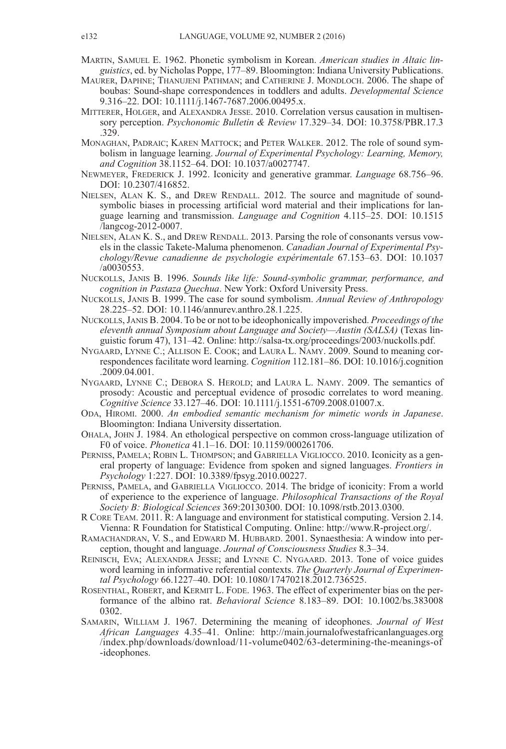- MARTIN, SAMUEL E. 1962. Phonetic symbolism in Korean. *American studies in Altaic linguistics*, ed. by Nicholas Poppe, 177–89. Bloomington: Indiana University Publications.
- MAURER, DAPHNE; THANUJENI PATHMAN; and CATHERINE J. MONDLOCH. 2006. The shape of boubas: Sound-shape correspondences in toddlers and adults. *Developmental Science* 9.316–22. DOI: [10.1111/j.1467-7687.2006.00495.x.](http://dx.doi.org/10.1111/j.1467-7687.2006.00495.x)
- MITTERER, HOLGER, and ALEXANDRA JESSE. 2010. Correlation versus causation in multisensory perception. *Psychonomic Bulletin & Review* 17.329–34. DOI: [10.3758/PBR.17.3](http://dx.doi.org/10.3758/PBR.17.3.329) [.329.](http://dx.doi.org/10.3758/PBR.17.3.329)
- MONAGHAN, PADRAIC; KAREN MATTOCK; and PETER WALKER. 2012. The role of sound symbolism in language learning. *Journal of Experimental Psychology: Learning, Memory, and Cognition* 38.1152–64. DOI: [10.1037/a0027747.](http://dx.doi.org/10.1037/a0027747)
- NEWMEYER, FREDERICK J. 1992. Iconicity and generative grammar. *Language* 68.756–96. DOI: [10.2307/416852.](http://dx.doi.org/10.2307/416852)
- NIELSEN, ALAN K. S., and DREW RENDALL. 2012. The source and magnitude of soundsymbolic biases in processing artificial word material and their implications for language learning and transmission. *Language and Cognition* 4.115–25. DOI: [10.1515](http://dx.doi.org/10.1515/langcog-2012-0007) [/langcog-2012-0007.](http://dx.doi.org/10.1515/langcog-2012-0007)
- NIELSEN, ALAN K. S., and DREW RENDALL. 2013. Parsing the role of consonants versus vowels in the classic Takete-Maluma phenomenon. *Canadian Journal of Experimental Psychology/Revue canadienne de psychologie expérimentale* 67.153–63. DOI: [10.1037](http://dx.doi.org/10.1037/a0030553) [/a0030553.](http://dx.doi.org/10.1037/a0030553)
- NUCKOLLS, JANIS B. 1996. *Sounds like life: Sound-symbolic grammar, performance, and cognition in Pastaza Quechua*. New York: Oxford University Press.
- NUCKOLLS, JANIS B. 1999. The case for sound symbolism. *Annual Review of Anthropology* 28.225–52. DOI: [10.1146/annurev.anthro.28.1.225.](http://dx.doi.org/10.1146/annurev.anthro.28.1.225)
- NUCKOLLS,JANIS B. 2004. To be or not to be ideophonically impoverished. *Proceedings of the eleventh annual Symposium about Language and Society—Austin (SALSA)* (Texas linguistic forum 47), 131–42. Online: [http://salsa-tx.org/proceedings/2003/nuckolls.pdf.](http://salsa-tx.org/proceedings/2003/nuckolls.pdf)
- NYGAARD, LYNNE C.; ALLISON E. COOK; and LAURA L. NAMY. 2009. Sound to meaning correspondences facilitate word learning. *Cognition* 112.181–86. DOI: [10.1016/j.cognition](http://dx.doi.org/10.1016/j.cognition.2009.04.001) [.2009.04.001.](http://dx.doi.org/10.1016/j.cognition.2009.04.001)
- NYGAARD, LYNNE C.; DEBORA S. HEROLD; and LAURA L. NAMY. 2009. The semantics of prosody: Acoustic and perceptual evidence of prosodic correlates to word meaning. *Cognitive Science* 33.127–46. DOI: [10.1111/j.1551-6709.2008.01007.x.](http://dx.doi.org/10.1111/j.1551-6709.2008.01007.x)
- ODA, HIROMI. 2000. *An embodied semantic mechanism for mimetic words in Japanese*. Bloomington: Indiana University dissertation.
- OHALA, JOHN J. 1984. An ethological perspective on common cross-language utilization of F0 of voice. *Phonetica* 41.1–16. DOI: [10.1159/000261706.](http://dx.doi.org/10.1159/000261706)
- PERNISS, PAMELA; ROBIN L. THOMPSON; and GABRIELLA VIGLIOCCO. 2010. Iconicity as a general property of language: Evidence from spoken and signed languages. *Frontiers in Psychology* 1:227. DOI: [10.3389/fpsyg.2010.00227.](http://dx.doi.org/10.3389/fpsyg.2010.00227)
- PERNISS, PAMELA, and GABRIELLA VIGLIOCCO. 2014. The bridge of iconicity: From a world of experience to the experience of language. *Philosophical Transactions of the Royal Society B: Biological Sciences* 369:20130300. DOI: [10.1098/rstb.2013.0300.](http://dx.doi.org/10.1098/rstb.2013.0300)
- R CORE TEAM. 2011. R: A language and environment for statistical computing. Version 2.14. Vienna: R Foundation for Statistical Computing. Online: http://www.R-project.org/.
- RAMACHANDRAN, V. S., and EDWARD M. HUBBARD. 2001. Synaesthesia: A window into perception, thought and language. *Journal of Consciousness Studies* 8.3–34.
- REINISCH, EVA; ALEXANDRA JESSE; and LYNNE C. NYGAARD. 2013. Tone of voice guides word learning in informative referential contexts. *The Quarterly Journal of Experimental Psychology* 66.1227–40. DOI: [10.1080/17470218.2012.736525.](http://dx.doi.org/10.1080/17470218.2012.736525)
- ROSENTHAL, ROBERT, and KERMIT L. FODE. 1963. The effect of experimenter bias on the performance of the albino rat. *Behavioral Science* 8.183–89. DOI: [10.1002/bs.383008](http://dx.doi.org/10.1002/bs.3830080302) [0302.](http://dx.doi.org/10.1002/bs.3830080302)
- SAMARIN, WILLIAM J. 1967. Determining the meaning of ideophones. *Journal of West African Languages* 4.35–41. Online: [http://main.journalofwestafricanlanguages.org](http://main.journalofwestafricanlanguages.org/index.php/downloads/download/11-volume0402/63-determining-the-meanings-of-ideophones) [/index.php/downloads/download/11-volume0402/63-determining-the-meanings-of](http://main.journalofwestafricanlanguages.org/index.php/downloads/download/11-volume0402/63-determining-the-meanings-of-ideophones) [-ideophones.](http://main.journalofwestafricanlanguages.org/index.php/downloads/download/11-volume0402/63-determining-the-meanings-of-ideophones)